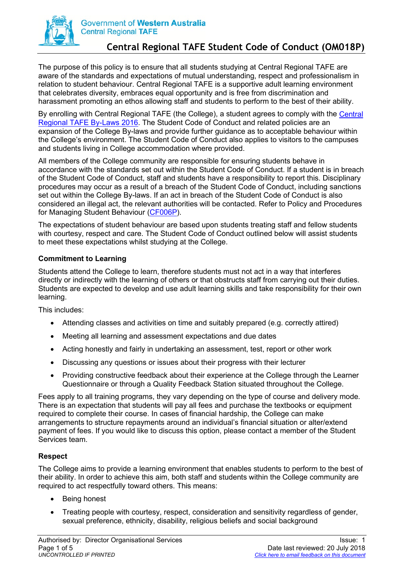

# **Central Regional TAFE Student Code of Conduct (OM018P)**

The purpose of this policy is to ensure that all students studying at Central Regional TAFE are aware of the standards and expectations of mutual understanding, respect and professionalism in relation to student behaviour. Central Regional TAFE is a supportive adult learning environment that celebrates diversity, embraces equal opportunity and is free from discrimination and harassment promoting an ethos allowing staff and students to perform to the best of their ability.

By enrolling with Central Regional TAFE (the College), a student agrees to comply with the [Central](http://centranet.crtafe.wa.edu.au/qualitydocs/OM/OM026P.pdf)  [Regional TAFE By-Laws 2016.](http://centranet.crtafe.wa.edu.au/qualitydocs/OM/OM026P.pdf) The Student Code of Conduct and related policies are an expansion of the College By-laws and provide further guidance as to acceptable behaviour within the College's environment. The Student Code of Conduct also applies to visitors to the campuses and students living in College accommodation where provided.

All members of the College community are responsible for ensuring students behave in accordance with the standards set out within the Student Code of Conduct. If a student is in breach of the Student Code of Conduct, staff and students have a responsibility to report this. Disciplinary procedures may occur as a result of a breach of the Student Code of Conduct, including sanctions set out within the College By-laws. If an act in breach of the Student Code of Conduct is also considered an illegal act, the relevant authorities will be contacted. Refer to Policy and Procedures for Managing Student Behaviour [\(CF006P\)](http://centranet.crtafe.wa.edu.au/qualitydocs/CF/CF006P.pdf).

The expectations of student behaviour are based upon students treating staff and fellow students with courtesy, respect and care. The Student Code of Conduct outlined below will assist students to meet these expectations whilst studying at the College.

## **Commitment to Learning**

Students attend the College to learn, therefore students must not act in a way that interferes directly or indirectly with the learning of others or that obstructs staff from carrying out their duties. Students are expected to develop and use adult learning skills and take responsibility for their own learning.

This includes:

- Attending classes and activities on time and suitably prepared (e.g. correctly attired)
- Meeting all learning and assessment expectations and due dates
- Acting honestly and fairly in undertaking an assessment, test, report or other work
- Discussing any questions or issues about their progress with their lecturer
- Providing constructive feedback about their experience at the College through the Learner Questionnaire or through a Quality Feedback Station situated throughout the College.

Fees apply to all training programs, they vary depending on the type of course and delivery mode. There is an expectation that students will pay all fees and purchase the textbooks or equipment required to complete their course. In cases of financial hardship, the College can make arrangements to structure repayments around an individual's financial situation or alter/extend payment of fees. If you would like to discuss this option, please contact a member of the Student Services team.

#### **Respect**

The College aims to provide a learning environment that enables students to perform to the best of their ability. In order to achieve this aim, both staff and students within the College community are required to act respectfully toward others. This means:

- Being honest
- Treating people with courtesy, respect, consideration and sensitivity regardless of gender, sexual preference, ethnicity, disability, religious beliefs and social background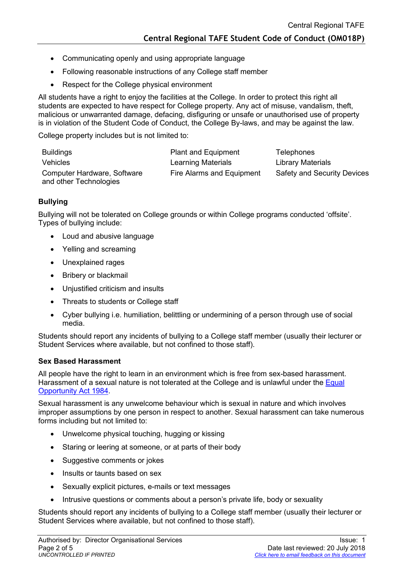- Communicating openly and using appropriate language
- Following reasonable instructions of any College staff member
- Respect for the College physical environment

All students have a right to enjoy the facilities at the College. In order to protect this right all students are expected to have respect for College property. Any act of misuse, vandalism, theft, malicious or unwarranted damage, defacing, disfiguring or unsafe or unauthorised use of property is in violation of the Student Code of Conduct, the College By-laws, and may be against the law.

College property includes but is not limited to:

| <b>Buildings</b>                                      | <b>Plant and Equipment</b> | Telephones                         |
|-------------------------------------------------------|----------------------------|------------------------------------|
| <b>Vehicles</b>                                       | <b>Learning Materials</b>  | <b>Library Materials</b>           |
| Computer Hardware, Software<br>and other Technologies | Fire Alarms and Equipment  | <b>Safety and Security Devices</b> |

## **Bullying**

Bullying will not be tolerated on College grounds or within College programs conducted 'offsite'. Types of bullying include:

- Loud and abusive language
- Yelling and screaming
- Unexplained rages
- Bribery or blackmail
- Unjustified criticism and insults
- Threats to students or College staff
- Cyber bullying i.e. humiliation, belittling or undermining of a person through use of social media.

Students should report any incidents of bullying to a College staff member (usually their lecturer or Student Services where available, but not confined to those staff).

#### **Sex Based Harassment**

All people have the right to learn in an environment which is free from sex-based harassment. Harassment of a sexual nature is not tolerated at the College and is unlawful under the Equal [Opportunity Act 1984.](https://www.legislation.wa.gov.au/legislation/prod/filestore.nsf/FileURL/mrdoc_37090.pdf/$FILE/Equal%20Opportunity%20Act%201984%20-%20%5B07-d0-00%5D.pdf?OpenElement)

Sexual harassment is any unwelcome behaviour which is sexual in nature and which involves improper assumptions by one person in respect to another. Sexual harassment can take numerous forms including but not limited to:

- Unwelcome physical touching, hugging or kissing
- Staring or leering at someone, or at parts of their body
- Suggestive comments or jokes
- Insults or taunts based on sex
- Sexually explicit pictures, e-mails or text messages
- Intrusive questions or comments about a person's private life, body or sexuality

Students should report any incidents of bullying to a College staff member (usually their lecturer or Student Services where available, but not confined to those staff).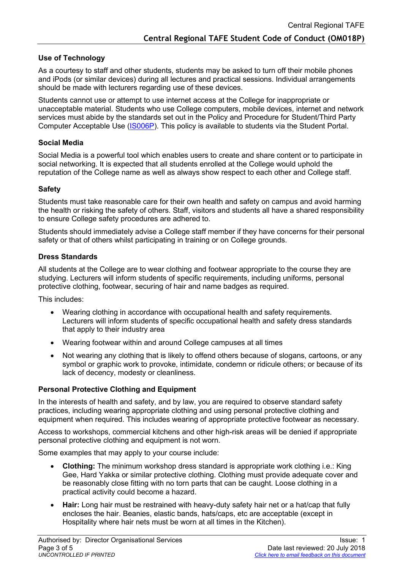## **Use of Technology**

As a courtesy to staff and other students, students may be asked to turn off their mobile phones and iPods (or similar devices) during all lectures and practical sessions. Individual arrangements should be made with lecturers regarding use of these devices.

Students cannot use or attempt to use internet access at the College for inappropriate or unacceptable material. Students who use College computers, mobile devices, internet and network services must abide by the standards set out in the Policy and Procedure for Student/Third Party Computer Acceptable Use [\(IS006P\)](http://centranet.crtafe.wa.edu.au/qualitydocs/IS/IS006P.pdf). This policy is available to students via the Student Portal.

## **Social Media**

Social Media is a powerful tool which enables users to create and share content or to participate in social networking. It is expected that all students enrolled at the College would uphold the reputation of the College name as well as always show respect to each other and College staff.

## **Safety**

Students must take reasonable care for their own health and safety on campus and avoid harming the health or risking the safety of others. Staff, visitors and students all have a shared responsibility to ensure College safety procedures are adhered to.

Students should immediately advise a College staff member if they have concerns for their personal safety or that of others whilst participating in training or on College grounds.

## **Dress Standards**

All students at the College are to wear clothing and footwear appropriate to the course they are studying. Lecturers will inform students of specific requirements, including uniforms, personal protective clothing, footwear, securing of hair and name badges as required.

This includes:

- Wearing clothing in accordance with occupational health and safety requirements. Lecturers will inform students of specific occupational health and safety dress standards that apply to their industry area
- Wearing footwear within and around College campuses at all times
- Not wearing any clothing that is likely to offend others because of slogans, cartoons, or any symbol or graphic work to provoke, intimidate, condemn or ridicule others; or because of its lack of decency, modesty or cleanliness.

## **Personal Protective Clothing and Equipment**

In the interests of health and safety, and by law, you are required to observe standard safety practices, including wearing appropriate clothing and using personal protective clothing and equipment when required. This includes wearing of appropriate protective footwear as necessary.

Access to workshops, commercial kitchens and other high-risk areas will be denied if appropriate personal protective clothing and equipment is not worn.

Some examples that may apply to your course include:

- **Clothing:** The minimum workshop dress standard is appropriate work clothing i.e.: King Gee, Hard Yakka or similar protective clothing. Clothing must provide adequate cover and be reasonably close fitting with no torn parts that can be caught. Loose clothing in a practical activity could become a hazard.
- **Hair:** Long hair must be restrained with heavy-duty safety hair net or a hat/cap that fully encloses the hair. Beanies, elastic bands, hats/caps, etc are acceptable (except in Hospitality where hair nets must be worn at all times in the Kitchen).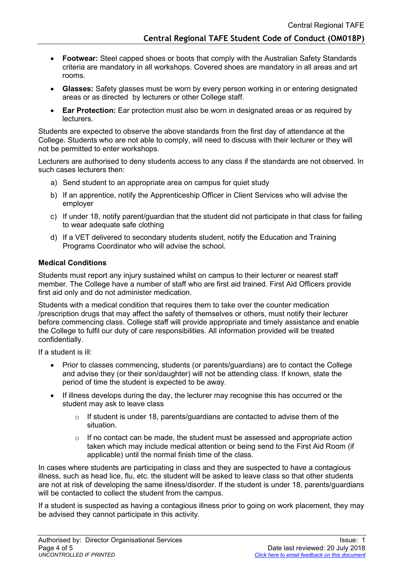- **Footwear:** Steel capped shoes or boots that comply with the Australian Safety Standards criteria are mandatory in all workshops. Covered shoes are mandatory in all areas and art rooms.
- **Glasses:** Safety glasses must be worn by every person working in or entering designated areas or as directed by lecturers or other College staff.
- **Ear Protection:** Ear protection must also be worn in designated areas or as required by **lecturers**

Students are expected to observe the above standards from the first day of attendance at the College. Students who are not able to comply, will need to discuss with their lecturer or they will not be permitted to enter workshops.

Lecturers are authorised to deny students access to any class if the standards are not observed. In such cases lecturers then:

- a) Send student to an appropriate area on campus for quiet study
- b) If an apprentice, notify the Apprenticeship Officer in Client Services who will advise the employer
- c) If under 18, notify parent/guardian that the student did not participate in that class for failing to wear adequate safe clothing
- d) If a VET delivered to secondary students student, notify the Education and Training Programs Coordinator who will advise the school.

## **Medical Conditions**

Students must report any injury sustained whilst on campus to their lecturer or nearest staff member. The College have a number of staff who are first aid trained. First Aid Officers provide first aid only and do not administer medication.

Students with a medical condition that requires them to take over the counter medication /prescription drugs that may affect the safety of themselves or others, must notify their lecturer before commencing class. College staff will provide appropriate and timely assistance and enable the College to fulfil our duty of care responsibilities. All information provided will be treated confidentially.

If a student is ill:

- Prior to classes commencing, students (or parents/guardians) are to contact the College and advise they (or their son/daughter) will not be attending class. If known, state the period of time the student is expected to be away.
- If illness develops during the day, the lecturer may recognise this has occurred or the student may ask to leave class
	- $\circ$  If student is under 18, parents/guardians are contacted to advise them of the situation.
	- $\circ$  If no contact can be made, the student must be assessed and appropriate action taken which may include medical attention or being send to the First Aid Room (if applicable) until the normal finish time of the class.

In cases where students are participating in class and they are suspected to have a contagious illness, such as head lice, flu, etc. the student will be asked to leave class so that other students are not at risk of developing the same illness/disorder. If the student is under 18, parents/guardians will be contacted to collect the student from the campus.

If a student is suspected as having a contagious illness prior to going on work placement, they may be advised they cannot participate in this activity.